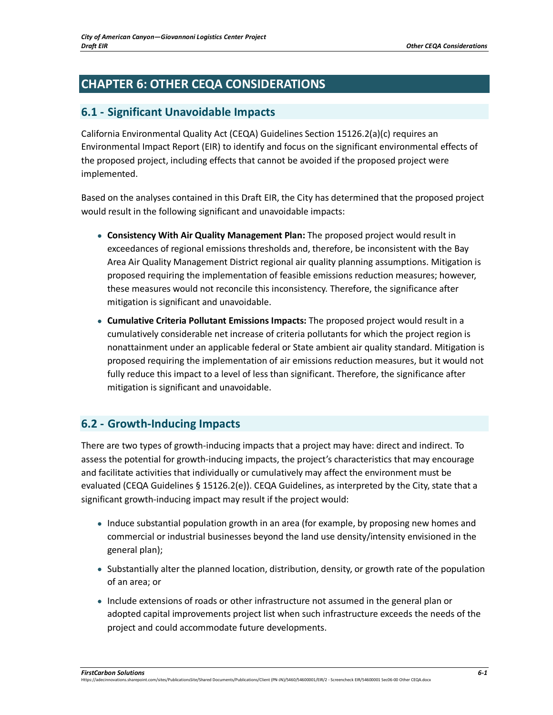# **CHAPTER 6: OTHER CEQA CONSIDERATIONS**

### **6.1 - Significant Unavoidable Impacts**

California Environmental Quality Act (CEQA) Guidelines Section 15126.2(a)(c) requires an Environmental Impact Report (EIR) to identify and focus on the significant environmental effects of the proposed project, including effects that cannot be avoided if the proposed project were implemented.

Based on the analyses contained in this Draft EIR, the City has determined that the proposed project would result in the following significant and unavoidable impacts:

- **Consistency With Air Quality Management Plan:** The proposed project would result in exceedances of regional emissions thresholds and, therefore, be inconsistent with the Bay Area Air Quality Management District regional air quality planning assumptions. Mitigation is proposed requiring the implementation of feasible emissions reduction measures; however, these measures would not reconcile this inconsistency. Therefore, the significance after mitigation is significant and unavoidable.
- **Cumulative Criteria Pollutant Emissions Impacts:** The proposed project would result in a cumulatively considerable net increase of criteria pollutants for which the project region is nonattainment under an applicable federal or State ambient air quality standard. Mitigation is proposed requiring the implementation of air emissions reduction measures, but it would not fully reduce this impact to a level of less than significant. Therefore, the significance after mitigation is significant and unavoidable.

## **6.2 - Growth-Inducing Impacts**

There are two types of growth-inducing impacts that a project may have: direct and indirect. To assess the potential for growth-inducing impacts, the project's characteristics that may encourage and facilitate activities that individually or cumulatively may affect the environment must be evaluated (CEQA Guidelines § 15126.2(e)). CEQA Guidelines, as interpreted by the City, state that a significant growth-inducing impact may result if the project would:

- Induce substantial population growth in an area (for example, by proposing new homes and commercial or industrial businesses beyond the land use density/intensity envisioned in the general plan);
- Substantially alter the planned location, distribution, density, or growth rate of the population of an area; or
- Include extensions of roads or other infrastructure not assumed in the general plan or adopted capital improvements project list when such infrastructure exceeds the needs of the project and could accommodate future developments.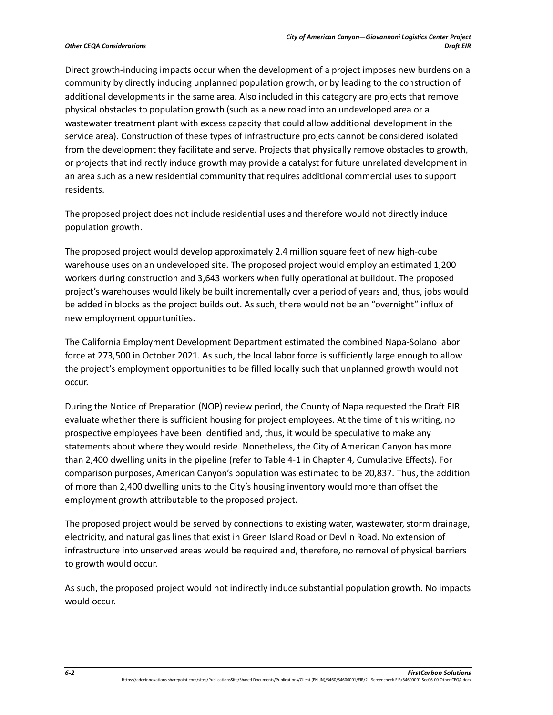Direct growth-inducing impacts occur when the development of a project imposes new burdens on a community by directly inducing unplanned population growth, or by leading to the construction of additional developments in the same area. Also included in this category are projects that remove physical obstacles to population growth (such as a new road into an undeveloped area or a wastewater treatment plant with excess capacity that could allow additional development in the service area). Construction of these types of infrastructure projects cannot be considered isolated from the development they facilitate and serve. Projects that physically remove obstacles to growth, or projects that indirectly induce growth may provide a catalyst for future unrelated development in an area such as a new residential community that requires additional commercial uses to support residents.

The proposed project does not include residential uses and therefore would not directly induce population growth.

The proposed project would develop approximately 2.4 million square feet of new high-cube warehouse uses on an undeveloped site. The proposed project would employ an estimated 1,200 workers during construction and 3,643 workers when fully operational at buildout. The proposed project's warehouses would likely be built incrementally over a period of years and, thus, jobs would be added in blocks as the project builds out. As such, there would not be an "overnight" influx of new employment opportunities.

The California Employment Development Department estimated the combined Napa-Solano labor force at 273,500 in October 2021. As such, the local labor force is sufficiently large enough to allow the project's employment opportunities to be filled locally such that unplanned growth would not occur.

During the Notice of Preparation (NOP) review period, the County of Napa requested the Draft EIR evaluate whether there is sufficient housing for project employees. At the time of this writing, no prospective employees have been identified and, thus, it would be speculative to make any statements about where they would reside. Nonetheless, the City of American Canyon has more than 2,400 dwelling units in the pipeline (refer to Table 4-1 in Chapter 4, Cumulative Effects). For comparison purposes, American Canyon's population was estimated to be 20,837. Thus, the addition of more than 2,400 dwelling units to the City's housing inventory would more than offset the employment growth attributable to the proposed project.

The proposed project would be served by connections to existing water, wastewater, storm drainage, electricity, and natural gas lines that exist in Green Island Road or Devlin Road. No extension of infrastructure into unserved areas would be required and, therefore, no removal of physical barriers to growth would occur.

As such, the proposed project would not indirectly induce substantial population growth. No impacts would occur.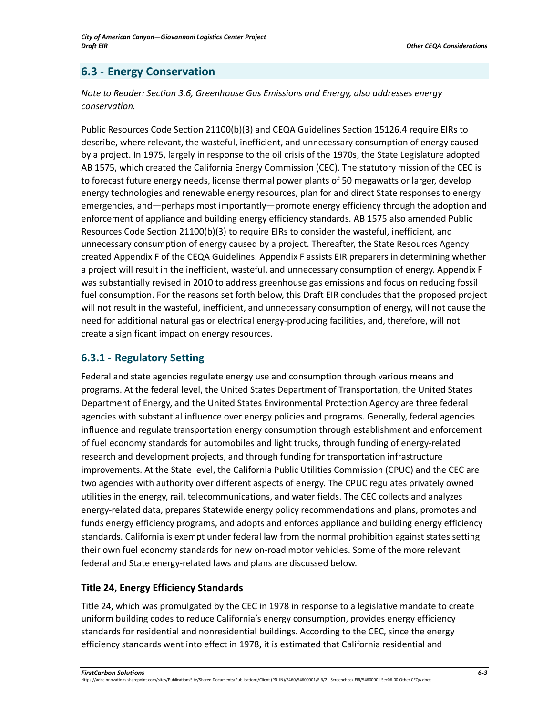## **6.3 - Energy Conservation**

*Note to Reader: Section 3.6, Greenhouse Gas Emissions and Energy, also addresses energy conservation.* 

Public Resources Code Section 21100(b)(3) and CEQA Guidelines Section 15126.4 require EIRs to describe, where relevant, the wasteful, inefficient, and unnecessary consumption of energy caused by a project. In 1975, largely in response to the oil crisis of the 1970s, the State Legislature adopted AB 1575, which created the California Energy Commission (CEC). The statutory mission of the CEC is to forecast future energy needs, license thermal power plants of 50 megawatts or larger, develop energy technologies and renewable energy resources, plan for and direct State responses to energy emergencies, and—perhaps most importantly—promote energy efficiency through the adoption and enforcement of appliance and building energy efficiency standards. AB 1575 also amended Public Resources Code Section 21100(b)(3) to require EIRs to consider the wasteful, inefficient, and unnecessary consumption of energy caused by a project. Thereafter, the State Resources Agency created Appendix F of the CEQA Guidelines. Appendix F assists EIR preparers in determining whether a project will result in the inefficient, wasteful, and unnecessary consumption of energy. Appendix F was substantially revised in 2010 to address greenhouse gas emissions and focus on reducing fossil fuel consumption. For the reasons set forth below, this Draft EIR concludes that the proposed project will not result in the wasteful, inefficient, and unnecessary consumption of energy, will not cause the need for additional natural gas or electrical energy-producing facilities, and, therefore, will not create a significant impact on energy resources.

### **6.3.1 - Regulatory Setting**

Federal and state agencies regulate energy use and consumption through various means and programs. At the federal level, the United States Department of Transportation, the United States Department of Energy, and the United States Environmental Protection Agency are three federal agencies with substantial influence over energy policies and programs. Generally, federal agencies influence and regulate transportation energy consumption through establishment and enforcement of fuel economy standards for automobiles and light trucks, through funding of energy-related research and development projects, and through funding for transportation infrastructure improvements. At the State level, the California Public Utilities Commission (CPUC) and the CEC are two agencies with authority over different aspects of energy. The CPUC regulates privately owned utilities in the energy, rail, telecommunications, and water fields. The CEC collects and analyzes energy-related data, prepares Statewide energy policy recommendations and plans, promotes and funds energy efficiency programs, and adopts and enforces appliance and building energy efficiency standards. California is exempt under federal law from the normal prohibition against states setting their own fuel economy standards for new on-road motor vehicles. Some of the more relevant federal and State energy-related laws and plans are discussed below.

#### **Title 24, Energy Efficiency Standards**

Title 24, which was promulgated by the CEC in 1978 in response to a legislative mandate to create uniform building codes to reduce California's energy consumption, provides energy efficiency standards for residential and nonresidential buildings. According to the CEC, since the energy efficiency standards went into effect in 1978, it is estimated that California residential and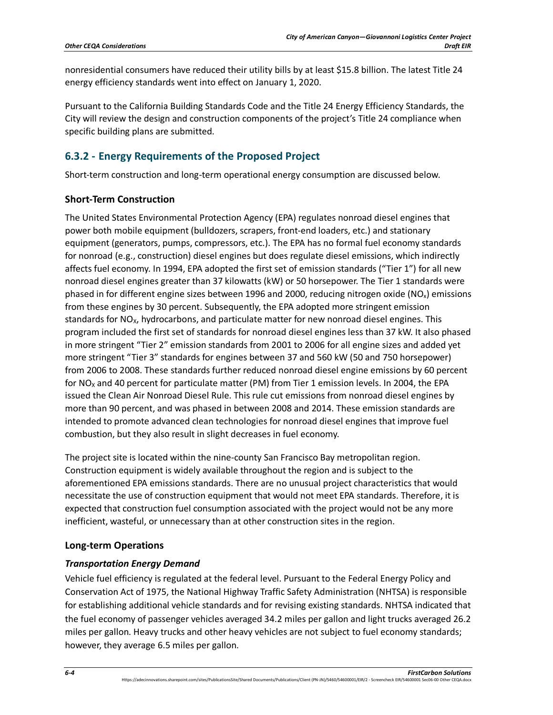nonresidential consumers have reduced their utility bills by at least \$15.8 billion. The latest Title 24 energy efficiency standards went into effect on January 1, 2020.

Pursuant to the California Building Standards Code and the Title 24 Energy Efficiency Standards, the City will review the design and construction components of the project's Title 24 compliance when specific building plans are submitted.

## **6.3.2 - Energy Requirements of the Proposed Project**

Short-term construction and long-term operational energy consumption are discussed below.

#### **Short-Term Construction**

The United States Environmental Protection Agency (EPA) regulates nonroad diesel engines that power both mobile equipment (bulldozers, scrapers, front-end loaders, etc.) and stationary equipment (generators, pumps, compressors, etc.). The EPA has no formal fuel economy standards for nonroad (e.g., construction) diesel engines but does regulate diesel emissions, which indirectly affects fuel economy. In 1994, EPA adopted the first set of emission standards ("Tier 1") for all new nonroad diesel engines greater than 37 kilowatts (kW) or 50 horsepower. The Tier 1 standards were phased in for different engine sizes between 1996 and 2000, reducing nitrogen oxide ( $NO<sub>x</sub>$ ) emissions from these engines by 30 percent. Subsequently, the EPA adopted more stringent emission standards for  $NO_{x}$ , hydrocarbons, and particulate matter for new nonroad diesel engines. This program included the first set of standards for nonroad diesel engines less than 37 kW. It also phased in more stringent "Tier 2" emission standards from 2001 to 2006 for all engine sizes and added yet more stringent "Tier 3" standards for engines between 37 and 560 kW (50 and 750 horsepower) from 2006 to 2008. These standards further reduced nonroad diesel engine emissions by 60 percent for NO<sub>x</sub> and 40 percent for particulate matter (PM) from Tier 1 emission levels. In 2004, the EPA issued the Clean Air Nonroad Diesel Rule. This rule cut emissions from nonroad diesel engines by more than 90 percent, and was phased in between 2008 and 2014. These emission standards are intended to promote advanced clean technologies for nonroad diesel engines that improve fuel combustion, but they also result in slight decreases in fuel economy.

The project site is located within the nine-county San Francisco Bay metropolitan region. Construction equipment is widely available throughout the region and is subject to the aforementioned EPA emissions standards. There are no unusual project characteristics that would necessitate the use of construction equipment that would not meet EPA standards. Therefore, it is expected that construction fuel consumption associated with the project would not be any more inefficient, wasteful, or unnecessary than at other construction sites in the region.

#### **Long-term Operations**

### *Transportation Energy Demand*

Vehicle fuel efficiency is regulated at the federal level. Pursuant to the Federal Energy Policy and Conservation Act of 1975, the National Highway Traffic Safety Administration (NHTSA) is responsible for establishing additional vehicle standards and for revising existing standards. NHTSA indicated that the fuel economy of passenger vehicles averaged 34.2 miles per gallon and light trucks averaged 26.2 miles per gallon. Heavy trucks and other heavy vehicles are not subject to fuel economy standards; however, they average 6.5 miles per gallon.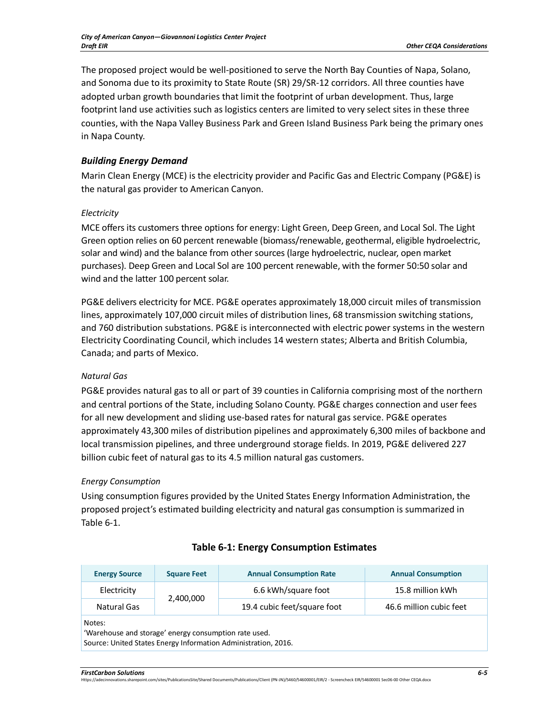The proposed project would be well-positioned to serve the North Bay Counties of Napa, Solano, and Sonoma due to its proximity to State Route (SR) 29/SR-12 corridors. All three counties have adopted urban growth boundaries that limit the footprint of urban development. Thus, large footprint land use activities such as logistics centers are limited to very select sites in these three counties, with the Napa Valley Business Park and Green Island Business Park being the primary ones in Napa County.

#### *Building Energy Demand*

Marin Clean Energy (MCE) is the electricity provider and Pacific Gas and Electric Company (PG&E) is the natural gas provider to American Canyon.

#### *Electricity*

MCE offers its customers three options for energy: Light Green, Deep Green, and Local Sol. The Light Green option relies on 60 percent renewable (biomass/renewable, geothermal, eligible hydroelectric, solar and wind) and the balance from other sources (large hydroelectric, nuclear, open market purchases). Deep Green and Local Sol are 100 percent renewable, with the former 50:50 solar and wind and the latter 100 percent solar.

PG&E delivers electricity for MCE. PG&E operates approximately 18,000 circuit miles of transmission lines, approximately 107,000 circuit miles of distribution lines, 68 transmission switching stations, and 760 distribution substations. PG&E is interconnected with electric power systems in the western Electricity Coordinating Council, which includes 14 western states; Alberta and British Columbia, Canada; and parts of Mexico.

#### *Natural Gas*

PG&E provides natural gas to all or part of 39 counties in California comprising most of the northern and central portions of the State, including Solano County. PG&E charges connection and user fees for all new development and sliding use-based rates for natural gas service. PG&E operates approximately 43,300 miles of distribution pipelines and approximately 6,300 miles of backbone and local transmission pipelines, and three underground storage fields. In 2019, PG&E delivered 227 billion cubic feet of natural gas to its 4.5 million natural gas customers.

#### *Energy Consumption*

Using consumption figures provided by the United States Energy Information Administration, the proposed project's estimated building electricity and natural gas consumption is summarized in [Table 6-1.](#page-4-0)

<span id="page-4-0"></span>

| <b>Energy Source</b>                                                                                                           | <b>Square Feet</b> | <b>Annual Consumption Rate</b> | <b>Annual Consumption</b> |
|--------------------------------------------------------------------------------------------------------------------------------|--------------------|--------------------------------|---------------------------|
| Electricity                                                                                                                    | 2,400,000          | 6.6 kWh/square foot            | 15.8 million kWh          |
| Natural Gas                                                                                                                    |                    | 19.4 cubic feet/square foot    | 46.6 million cubic feet   |
| Notes:<br>'Warehouse and storage' energy consumption rate used.<br>Course United States Energy Information Administration 2016 |                    |                                |                           |

#### **Table 6-1: Energy Consumption Estimates**

Source: United States Energy Information Administration, 2016.